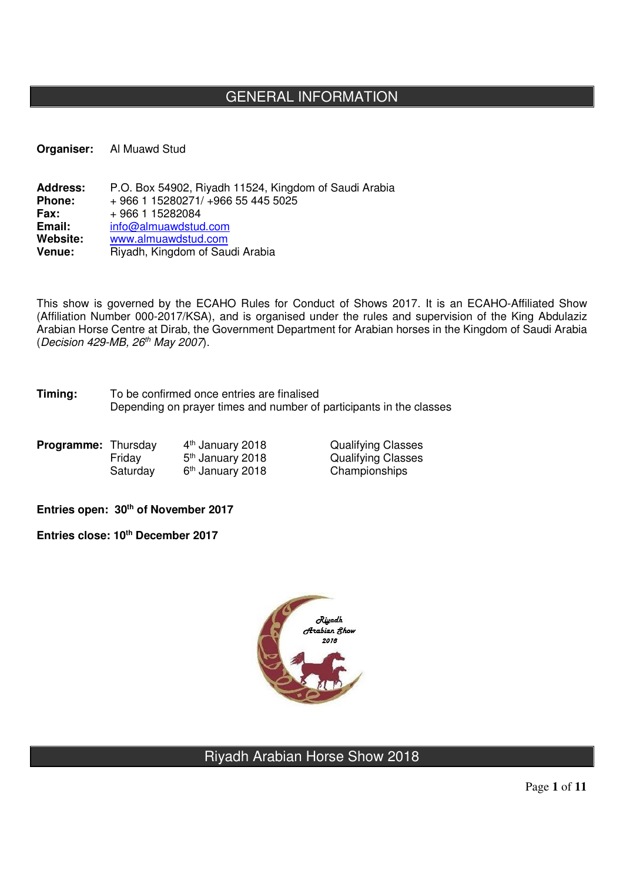## GENERAL INFORMATION

**Organiser:** Al Muawd Stud

**Address:** P.O. Box 54902, Riyadh 11524, Kingdom of Saudi Arabia<br>**Phone:** + 966 1 15280271/ +966 55 445 5025 **Phone:** + 966 1 15280271/ +966 55 445 5025<br>**Fax:** + 966 1 15282084 **Fax:** + 966 1 15282084 **Email:** info@almuawdstud.com **Website:** www.almuawdstud.com<br>**Venue:** Rivadh. Kingdom of Sau **Venue:** Riyadh, Kingdom of Saudi Arabia

This show is governed by the ECAHO Rules for Conduct of Shows 2017. It is an ECAHO-Affiliated Show (Affiliation Number 000-2017/KSA), and is organised under the rules and supervision of the King Abdulaziz Arabian Horse Centre at Dirab, the Government Department for Arabian horses in the Kingdom of Saudi Arabia (Decision 429-MB, 26<sup>th</sup> May 2007).

> **Qualifying Classes** Qualifying Classes Championships

**Timing:** To be confirmed once entries are finalised Depending on prayer times and number of participants in the classes

| <b>Programme:</b> Thursday |          | 4 <sup>th</sup> January 2018 |
|----------------------------|----------|------------------------------|
|                            | Friday   | 5 <sup>th</sup> January 2018 |
|                            | Saturday | 6 <sup>th</sup> January 2018 |

**Entries open: 30th of November 2017** 

**Entries close: 10th December 2017** 



# Riyadh Arabian Horse Show 2018

Page **1** of **11**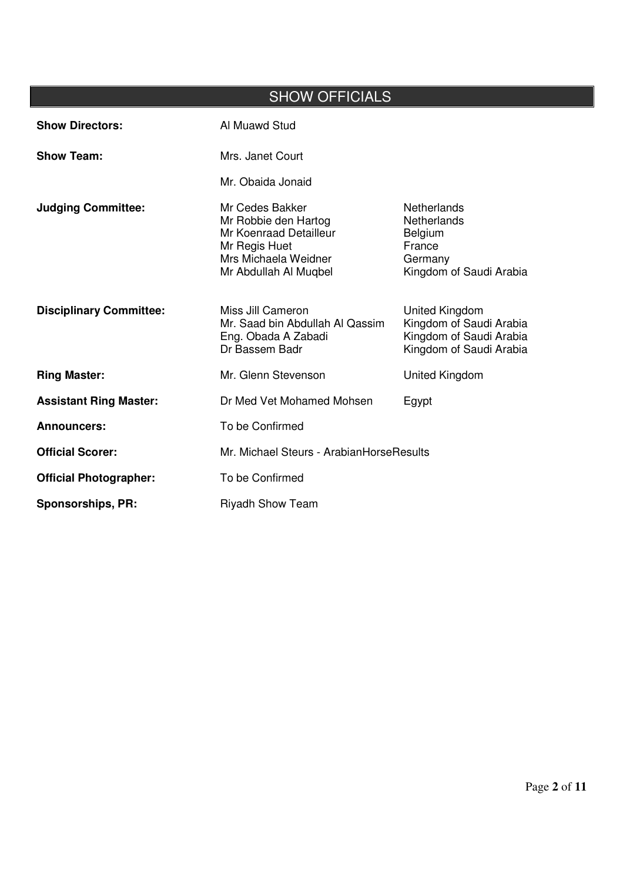|                                | <b>SHOW OFFICIALS</b>                                                                                                               |                                                                                                            |
|--------------------------------|-------------------------------------------------------------------------------------------------------------------------------------|------------------------------------------------------------------------------------------------------------|
| <b>Show Directors:</b>         | Al Muawd Stud                                                                                                                       |                                                                                                            |
| <b>Show Team:</b>              | Mrs. Janet Court                                                                                                                    |                                                                                                            |
|                                | Mr. Obaida Jonaid                                                                                                                   |                                                                                                            |
| <b>Judging Committee:</b>      | Mr Cedes Bakker<br>Mr Robbie den Hartog<br>Mr Koenraad Detailleur<br>Mr Regis Huet<br>Mrs Michaela Weidner<br>Mr Abdullah Al Muqbel | <b>Netherlands</b><br><b>Netherlands</b><br><b>Belgium</b><br>France<br>Germany<br>Kingdom of Saudi Arabia |
| <b>Disciplinary Committee:</b> | Miss Jill Cameron<br>Mr. Saad bin Abdullah Al Qassim<br>Eng. Obada A Zabadi<br>Dr Bassem Badr                                       | United Kingdom<br>Kingdom of Saudi Arabia<br>Kingdom of Saudi Arabia<br>Kingdom of Saudi Arabia            |
| <b>Ring Master:</b>            | Mr. Glenn Stevenson                                                                                                                 | <b>United Kingdom</b>                                                                                      |
| <b>Assistant Ring Master:</b>  | Dr Med Vet Mohamed Mohsen                                                                                                           | Egypt                                                                                                      |
| <b>Announcers:</b>             | To be Confirmed                                                                                                                     |                                                                                                            |
| <b>Official Scorer:</b>        | Mr. Michael Steurs - ArabianHorseResults                                                                                            |                                                                                                            |
| <b>Official Photographer:</b>  | To be Confirmed                                                                                                                     |                                                                                                            |
| <b>Sponsorships, PR:</b>       | <b>Riyadh Show Team</b>                                                                                                             |                                                                                                            |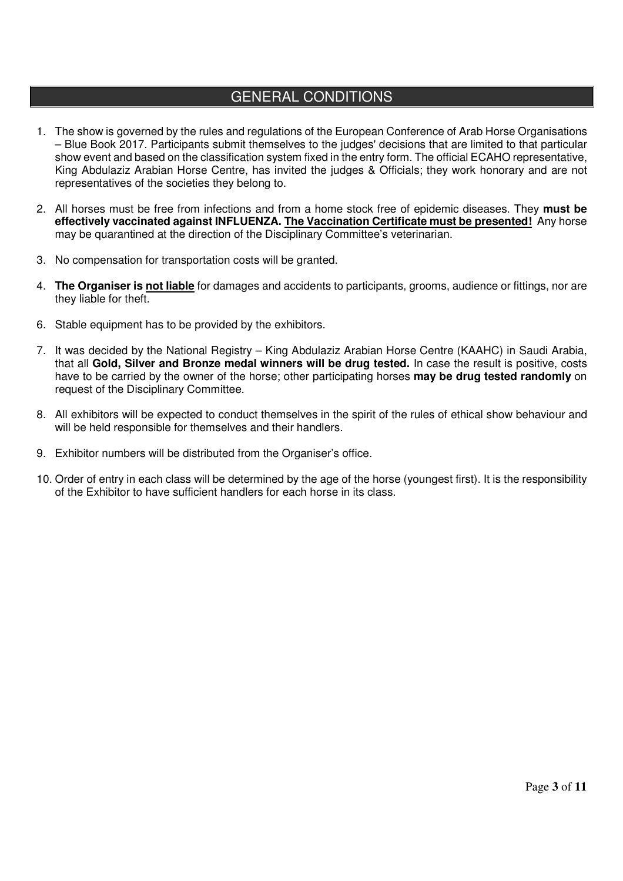### GENERAL CONDITIONS

- 1. The show is governed by the rules and regulations of the European Conference of Arab Horse Organisations – Blue Book 2017. Participants submit themselves to the judges' decisions that are limited to that particular show event and based on the classification system fixed in the entry form. The official ECAHO representative, King Abdulaziz Arabian Horse Centre, has invited the judges & Officials; they work honorary and are not representatives of the societies they belong to.
- 2. All horses must be free from infections and from a home stock free of epidemic diseases. They **must be effectively vaccinated against INFLUENZA. The Vaccination Certificate must be presented!** Any horse may be quarantined at the direction of the Disciplinary Committee's veterinarian.
- 3. No compensation for transportation costs will be granted.
- 4. **The Organiser is not liable** for damages and accidents to participants, grooms, audience or fittings, nor are they liable for theft.
- 6. Stable equipment has to be provided by the exhibitors.
- 7. It was decided by the National Registry King Abdulaziz Arabian Horse Centre (KAAHC) in Saudi Arabia, that all **Gold, Silver and Bronze medal winners will be drug tested.** In case the result is positive, costs have to be carried by the owner of the horse; other participating horses **may be drug tested randomly** on request of the Disciplinary Committee.
- 8. All exhibitors will be expected to conduct themselves in the spirit of the rules of ethical show behaviour and will be held responsible for themselves and their handlers.
- 9. Exhibitor numbers will be distributed from the Organiser's office.
- 10. Order of entry in each class will be determined by the age of the horse (youngest first). It is the responsibility of the Exhibitor to have sufficient handlers for each horse in its class.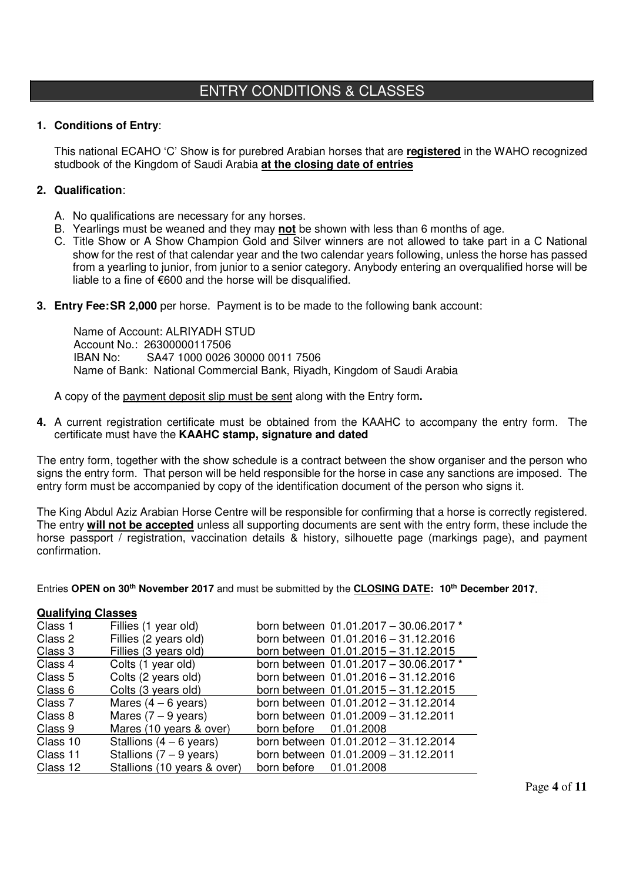# ENTRY CONDITIONS & CLASSES

#### **1. Conditions of Entry**:

 This national ECAHO 'C' Show is for purebred Arabian horses that are **registered** in the WAHO recognized studbook of the Kingdom of Saudi Arabia **at the closing date of entries**

#### **2. Qualification**:

- A. No qualifications are necessary for any horses.
- B. Yearlings must be weaned and they may **not** be shown with less than 6 months of age.
- C. Title Show or A Show Champion Gold and Silver winners are not allowed to take part in a C National show for the rest of that calendar year and the two calendar years following, unless the horse has passed from a yearling to junior, from junior to a senior category. Anybody entering an overqualified horse will be liable to a fine of €600 and the horse will be disqualified.
- **3. Entry Fee: SR 2,000** per horse. Payment is to be made to the following bank account:

 Name of Account: ALRIYADH STUD Account No.: 26300000117506 IBAN No: SA47 1000 0026 30000 0011 7506 Name of Bank: National Commercial Bank, Riyadh, Kingdom of Saudi Arabia

A copy of the payment deposit slip must be sent along with the Entry form**.** 

**4.** A current registration certificate must be obtained from the KAAHC to accompany the entry form. The certificate must have the **KAAHC stamp, signature and dated** 

The entry form, together with the show schedule is a contract between the show organiser and the person who signs the entry form. That person will be held responsible for the horse in case any sanctions are imposed. The entry form must be accompanied by copy of the identification document of the person who signs it.

The King Abdul Aziz Arabian Horse Centre will be responsible for confirming that a horse is correctly registered. The entry **will not be accepted** unless all supporting documents are sent with the entry form, these include the horse passport / registration, vaccination details & history, silhouette page (markings page), and payment confirmation.

Entries **OPEN on 30th November 2017** and must be submitted by the **CLOSING DATE: 10th December 2017.**

#### **Qualifying Classes**

| $rac{1}{2}$ |                             |                                        |  |  |
|-------------|-----------------------------|----------------------------------------|--|--|
| Class 1     | Fillies (1 year old)        | born between 01.01.2017 - 30.06.2017 * |  |  |
| Class 2     | Fillies (2 years old)       | born between 01.01.2016 - 31.12.2016   |  |  |
| Class 3     | Fillies (3 years old)       | born between 01.01.2015 - 31.12.2015   |  |  |
| Class 4     | Colts (1 year old)          | born between 01.01.2017 - 30.06.2017 * |  |  |
| Class 5     | Colts (2 years old)         | born between 01.01.2016 - 31.12.2016   |  |  |
| Class 6     | Colts (3 years old)         | born between 01.01.2015 - 31.12.2015   |  |  |
| Class 7     | Mares $(4 - 6$ years)       | born between 01.01.2012 - 31.12.2014   |  |  |
| Class 8     | Mares $(7 - 9$ years)       | born between 01.01.2009 - 31.12.2011   |  |  |
| Class 9     | Mares (10 years & over)     | born before 01.01.2008                 |  |  |
| Class 10    | Stallions $(4 - 6$ years)   | born between 01.01.2012 - 31.12.2014   |  |  |
| Class 11    | Stallions $(7 - 9$ years)   | born between 01.01.2009 - 31.12.2011   |  |  |
| Class 12    | Stallions (10 years & over) | born before<br>01.01.2008              |  |  |

Page **4** of **11**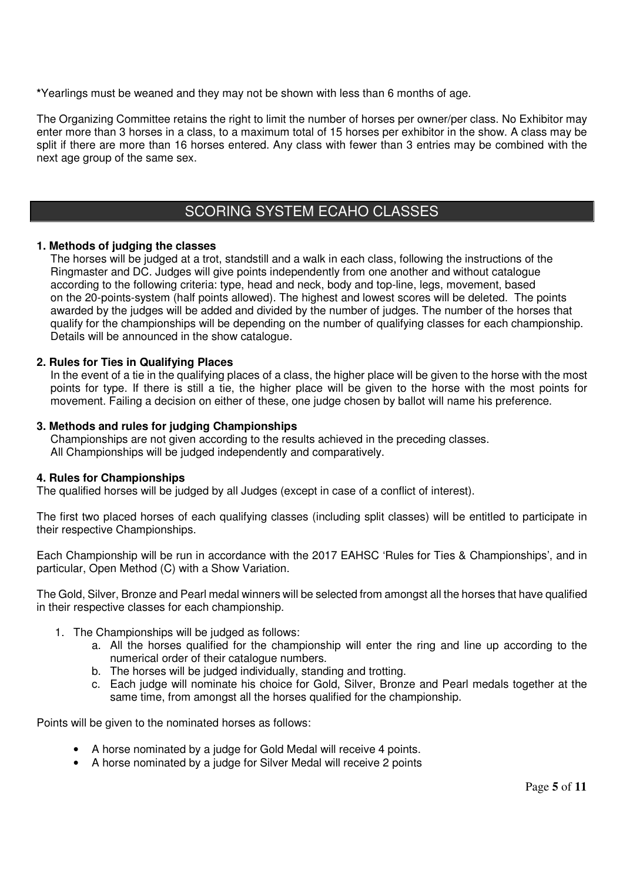**\***Yearlings must be weaned and they may not be shown with less than 6 months of age.

The Organizing Committee retains the right to limit the number of horses per owner/per class. No Exhibitor may enter more than 3 horses in a class, to a maximum total of 15 horses per exhibitor in the show. A class may be split if there are more than 16 horses entered. Any class with fewer than 3 entries may be combined with the next age group of the same sex.

### SCORING SYSTEM ECAHO CLASSES

#### **1. Methods of judging the classes**

The horses will be judged at a trot, standstill and a walk in each class, following the instructions of the Ringmaster and DC. Judges will give points independently from one another and without catalogue according to the following criteria: type, head and neck, body and top-line, legs, movement, based on the 20-points-system (half points allowed). The highest and lowest scores will be deleted. The points awarded by the judges will be added and divided by the number of judges. The number of the horses that qualify for the championships will be depending on the number of qualifying classes for each championship. Details will be announced in the show catalogue.

#### **2. Rules for Ties in Qualifying Places**

In the event of a tie in the qualifying places of a class, the higher place will be given to the horse with the most points for type. If there is still a tie, the higher place will be given to the horse with the most points for movement. Failing a decision on either of these, one judge chosen by ballot will name his preference.

#### **3. Methods and rules for judging Championships**

Championships are not given according to the results achieved in the preceding classes. All Championships will be judged independently and comparatively.

#### **4. Rules for Championships**

The qualified horses will be judged by all Judges (except in case of a conflict of interest).

The first two placed horses of each qualifying classes (including split classes) will be entitled to participate in their respective Championships.

Each Championship will be run in accordance with the 2017 EAHSC 'Rules for Ties & Championships', and in particular, Open Method (C) with a Show Variation.

The Gold, Silver, Bronze and Pearl medal winners will be selected from amongst all the horses that have qualified in their respective classes for each championship.

- 1. The Championships will be judged as follows:
	- a. All the horses qualified for the championship will enter the ring and line up according to the numerical order of their catalogue numbers.
	- b. The horses will be judged individually, standing and trotting.
	- c. Each judge will nominate his choice for Gold, Silver, Bronze and Pearl medals together at the same time, from amongst all the horses qualified for the championship.

Points will be given to the nominated horses as follows:

- A horse nominated by a judge for Gold Medal will receive 4 points.
- A horse nominated by a judge for Silver Medal will receive 2 points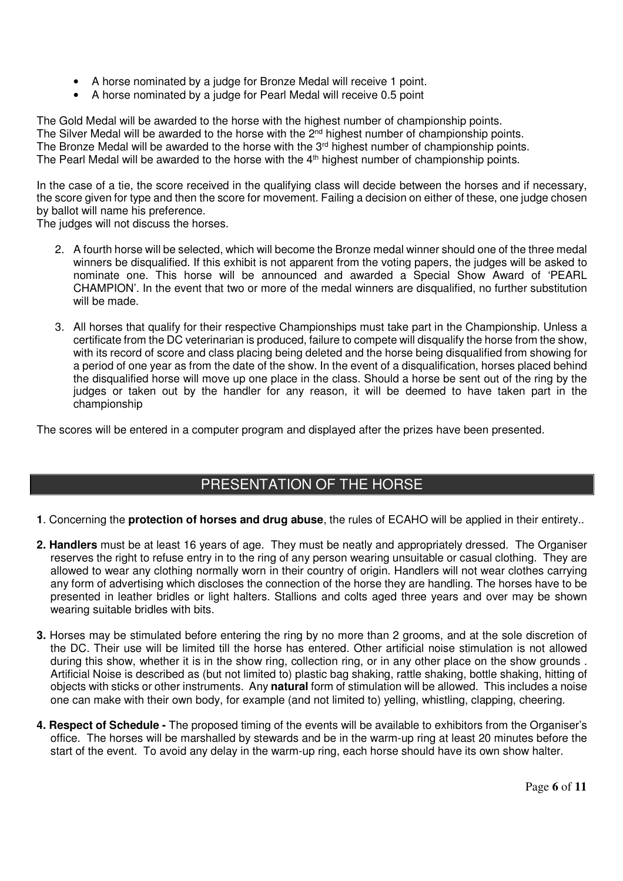- A horse nominated by a judge for Bronze Medal will receive 1 point.
- A horse nominated by a judge for Pearl Medal will receive 0.5 point

The Gold Medal will be awarded to the horse with the highest number of championship points. The Silver Medal will be awarded to the horse with the 2<sup>nd</sup> highest number of championship points. The Bronze Medal will be awarded to the horse with the 3<sup>rd</sup> highest number of championship points. The Pearl Medal will be awarded to the horse with the  $4<sup>th</sup>$  highest number of championship points.

In the case of a tie, the score received in the qualifying class will decide between the horses and if necessary, the score given for type and then the score for movement. Failing a decision on either of these, one judge chosen by ballot will name his preference.

The judges will not discuss the horses.

- 2. A fourth horse will be selected, which will become the Bronze medal winner should one of the three medal winners be disqualified. If this exhibit is not apparent from the voting papers, the judges will be asked to nominate one. This horse will be announced and awarded a Special Show Award of 'PEARL CHAMPION'. In the event that two or more of the medal winners are disqualified, no further substitution will be made.
- 3. All horses that qualify for their respective Championships must take part in the Championship. Unless a certificate from the DC veterinarian is produced, failure to compete will disqualify the horse from the show, with its record of score and class placing being deleted and the horse being disqualified from showing for a period of one year as from the date of the show. In the event of a disqualification, horses placed behind the disqualified horse will move up one place in the class. Should a horse be sent out of the ring by the judges or taken out by the handler for any reason, it will be deemed to have taken part in the championship

The scores will be entered in a computer program and displayed after the prizes have been presented.

## PRESENTATION OF THE HORSE

- **1**. Concerning the **protection of horses and drug abuse**, the rules of ECAHO will be applied in their entirety..
- **2. Handlers** must be at least 16 years of age. They must be neatly and appropriately dressed. The Organiser reserves the right to refuse entry in to the ring of any person wearing unsuitable or casual clothing. They are allowed to wear any clothing normally worn in their country of origin. Handlers will not wear clothes carrying any form of advertising which discloses the connection of the horse they are handling. The horses have to be presented in leather bridles or light halters. Stallions and colts aged three years and over may be shown wearing suitable bridles with bits.
- **3.** Horses may be stimulated before entering the ring by no more than 2 grooms, and at the sole discretion of the DC. Their use will be limited till the horse has entered. Other artificial noise stimulation is not allowed during this show, whether it is in the show ring, collection ring, or in any other place on the show grounds . Artificial Noise is described as (but not limited to) plastic bag shaking, rattle shaking, bottle shaking, hitting of objects with sticks or other instruments. Any **natural** form of stimulation will be allowed. This includes a noise one can make with their own body, for example (and not limited to) yelling, whistling, clapping, cheering.
- **4. Respect of Schedule** The proposed timing of the events will be available to exhibitors from the Organiser's office. The horses will be marshalled by stewards and be in the warm-up ring at least 20 minutes before the start of the event. To avoid any delay in the warm-up ring, each horse should have its own show halter.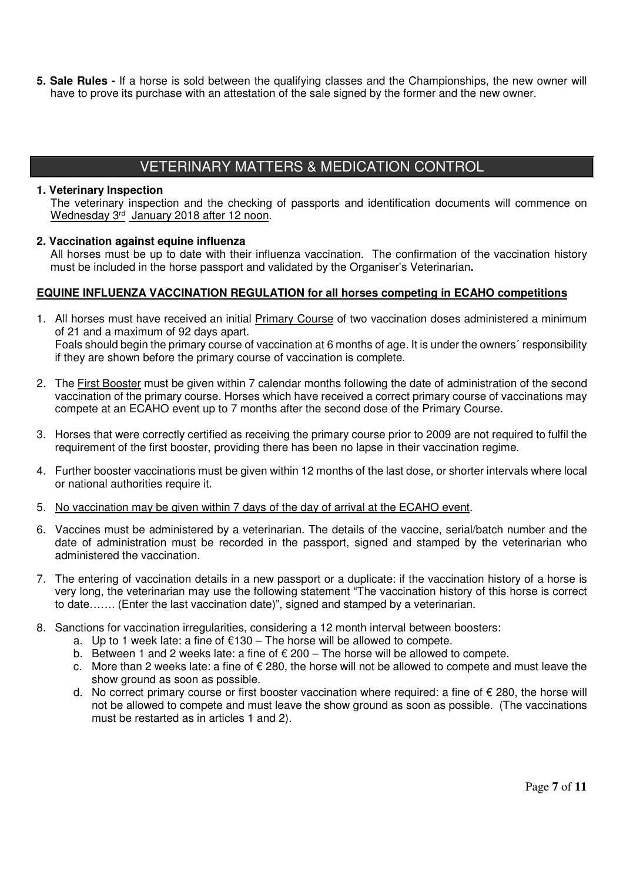**5. Sale Rules -** If a horse is sold between the qualifying classes and the Championships, the new owner will have to prove its purchase with an attestation of the sale signed by the former and the new owner.

# VETERINARY MATTERS & MEDICATION CONTROL

#### **1. Veterinary Inspection**

The veterinary inspection and the checking of passports and identification documents will commence on Wednesday 3rd January 2018 after 12 noon.

#### **2. Vaccination against equine influenza**

All horses must be up to date with their influenza vaccination. The confirmation of the vaccination history must be included in the horse passport and validated by the Organiser's Veterinarian**.** 

#### **EQUINE INFLUENZA VACCINATION REGULATION for all horses competing in ECAHO competitions**

- 1. All horses must have received an initial Primary Course of two vaccination doses administered a minimum of 21 and a maximum of 92 days apart. Foals should begin the primary course of vaccination at 6 months of age. It is under the owners´ responsibility if they are shown before the primary course of vaccination is complete.
- 2. The First Booster must be given within 7 calendar months following the date of administration of the second vaccination of the primary course. Horses which have received a correct primary course of vaccinations may compete at an ECAHO event up to 7 months after the second dose of the Primary Course.
- 3. Horses that were correctly certified as receiving the primary course prior to 2009 are not required to fulfil the requirement of the first booster, providing there has been no lapse in their vaccination regime.
- 4. Further booster vaccinations must be given within 12 months of the last dose, or shorter intervals where local or national authorities require it.
- 5. No vaccination may be given within 7 days of the day of arrival at the ECAHO event.
- 6. Vaccines must be administered by a veterinarian. The details of the vaccine, serial/batch number and the date of administration must be recorded in the passport, signed and stamped by the veterinarian who administered the vaccination.
- 7. The entering of vaccination details in a new passport or a duplicate: if the vaccination history of a horse is very long, the veterinarian may use the following statement "The vaccination history of this horse is correct to date……. (Enter the last vaccination date)", signed and stamped by a veterinarian.
- 8. Sanctions for vaccination irregularities, considering a 12 month interval between boosters:
	- a. Up to 1 week late: a fine of €130 The horse will be allowed to compete.
	- b. Between 1 and 2 weeks late: a fine of  $\epsilon$  200 The horse will be allowed to compete.
	- c. More than 2 weeks late: a fine of  $\epsilon$  280, the horse will not be allowed to compete and must leave the show ground as soon as possible.
	- d. No correct primary course or first booster vaccination where required: a fine of € 280, the horse will not be allowed to compete and must leave the show ground as soon as possible. (The vaccinations must be restarted as in articles 1 and 2).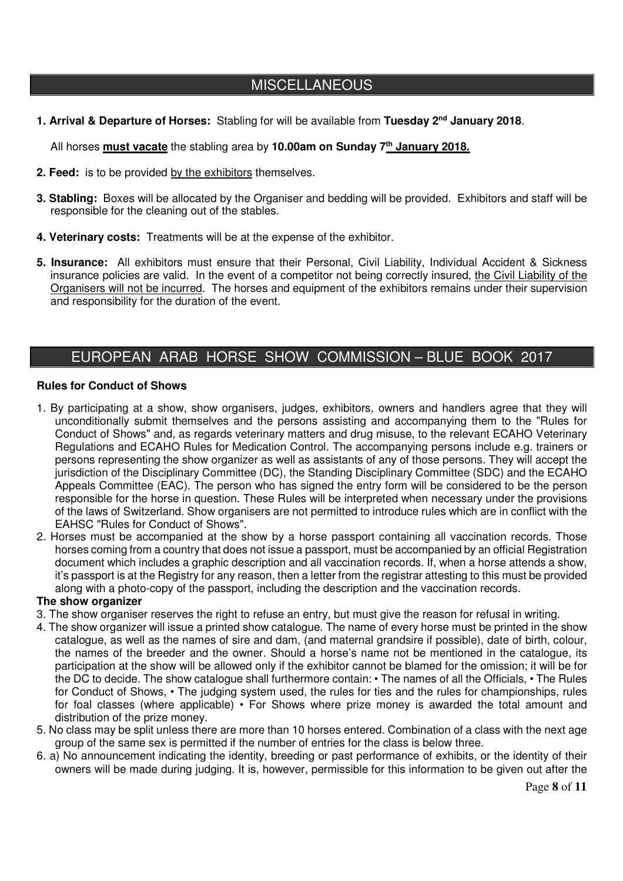# **MISCELLANEOUS**

**1. Arrival & Departure of Horses:** Stabling for will be available from **Tuesday 2nd January 2018**.

All horses **must vacate** the stabling area by **10.00am on Sunday 7th January 2018.**

- **2. Feed:** is to be provided by the exhibitors themselves.
- **3. Stabling:** Boxes will be allocated by the Organiser and bedding will be provided. Exhibitors and staff will be responsible for the cleaning out of the stables.
- **4. Veterinary costs:** Treatments will be at the expense of the exhibitor.
- **5. Insurance:** All exhibitors must ensure that their Personal, Civil Liability, Individual Accident & Sickness insurance policies are valid. In the event of a competitor not being correctly insured, the Civil Liability of the Organisers will not be incurred. The horses and equipment of the exhibitors remains under their supervision and responsibility for the duration of the event.

## EUROPEAN ARAB HORSE SHOW COMMISSION – BLUE BOOK 2017

#### **Rules for Conduct of Shows**

- 1. By participating at a show, show organisers, judges, exhibitors, owners and handlers agree that they will unconditionally submit themselves and the persons assisting and accompanying them to the "Rules for Conduct of Shows" and, as regards veterinary matters and drug misuse, to the relevant ECAHO Veterinary Regulations and ECAHO Rules for Medication Control. The accompanying persons include e.g. trainers or persons representing the show organizer as well as assistants of any of those persons. They will accept the jurisdiction of the Disciplinary Committee (DC), the Standing Disciplinary Committee (SDC) and the ECAHO Appeals Committee (EAC). The person who has signed the entry form will be considered to be the person responsible for the horse in question. These Rules will be interpreted when necessary under the provisions of the laws of Switzerland. Show organisers are not permitted to introduce rules which are in conflict with the EAHSC "Rules for Conduct of Shows".
- 2. Horses must be accompanied at the show by a horse passport containing all vaccination records. Those horses coming from a country that does not issue a passport, must be accompanied by an official Registration document which includes a graphic description and all vaccination records. If, when a horse attends a show, it's passport is at the Registry for any reason, then a letter from the registrar attesting to this must be provided along with a photo-copy of the passport, including the description and the vaccination records.

#### **The show organizer**

- 3. The show organiser reserves the right to refuse an entry, but must give the reason for refusal in writing.
- 4. The show organizer will issue a printed show catalogue. The name of every horse must be printed in the show catalogue, as well as the names of sire and dam, (and maternal grandsire if possible), date of birth, colour, the names of the breeder and the owner. Should a horse's name not be mentioned in the catalogue, its participation at the show will be allowed only if the exhibitor cannot be blamed for the omission; it will be for the DC to decide. The show catalogue shall furthermore contain: • The names of all the Officials, • The Rules for Conduct of Shows, • The judging system used, the rules for ties and the rules for championships, rules for foal classes (where applicable) • For Shows where prize money is awarded the total amount and distribution of the prize money.
- 5. No class may be split unless there are more than 10 horses entered. Combination of a class with the next age group of the same sex is permitted if the number of entries for the class is below three.
- 6. a) No announcement indicating the identity, breeding or past performance of exhibits, or the identity of their owners will be made during judging. It is, however, permissible for this information to be given out after the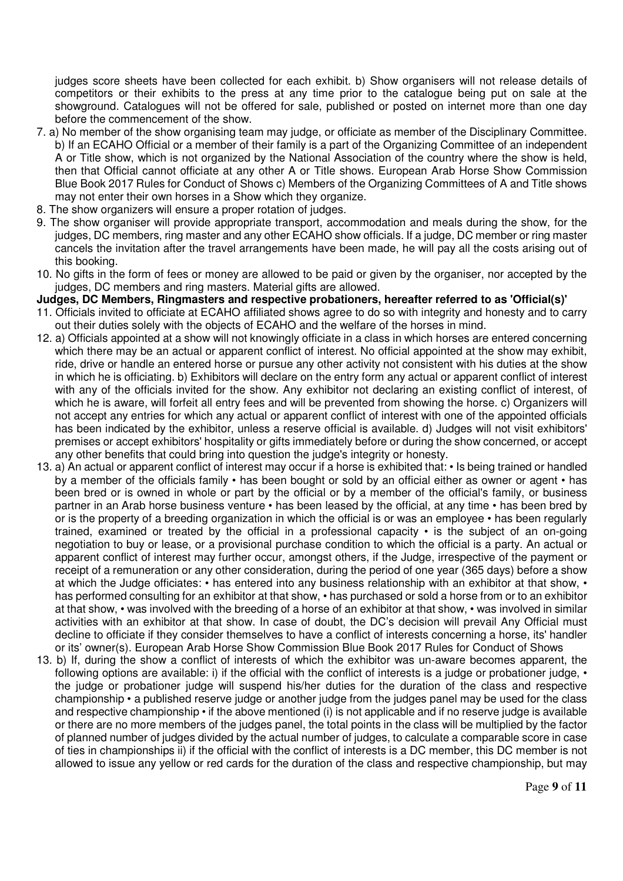judges score sheets have been collected for each exhibit. b) Show organisers will not release details of competitors or their exhibits to the press at any time prior to the catalogue being put on sale at the showground. Catalogues will not be offered for sale, published or posted on internet more than one day before the commencement of the show.

- 7. a) No member of the show organising team may judge, or officiate as member of the Disciplinary Committee. b) If an ECAHO Official or a member of their family is a part of the Organizing Committee of an independent A or Title show, which is not organized by the National Association of the country where the show is held, then that Official cannot officiate at any other A or Title shows. European Arab Horse Show Commission Blue Book 2017 Rules for Conduct of Shows c) Members of the Organizing Committees of A and Title shows may not enter their own horses in a Show which they organize.
- 8. The show organizers will ensure a proper rotation of judges.
- 9. The show organiser will provide appropriate transport, accommodation and meals during the show, for the judges, DC members, ring master and any other ECAHO show officials. If a judge, DC member or ring master cancels the invitation after the travel arrangements have been made, he will pay all the costs arising out of this booking.
- 10. No gifts in the form of fees or money are allowed to be paid or given by the organiser, nor accepted by the judges, DC members and ring masters. Material gifts are allowed.

#### **Judges, DC Members, Ringmasters and respective probationers, hereafter referred to as 'Official(s)'**

- 11. Officials invited to officiate at ECAHO affiliated shows agree to do so with integrity and honesty and to carry out their duties solely with the objects of ECAHO and the welfare of the horses in mind.
- 12. a) Officials appointed at a show will not knowingly officiate in a class in which horses are entered concerning which there may be an actual or apparent conflict of interest. No official appointed at the show may exhibit, ride, drive or handle an entered horse or pursue any other activity not consistent with his duties at the show in which he is officiating. b) Exhibitors will declare on the entry form any actual or apparent conflict of interest with any of the officials invited for the show. Any exhibitor not declaring an existing conflict of interest, of which he is aware, will forfeit all entry fees and will be prevented from showing the horse. c) Organizers will not accept any entries for which any actual or apparent conflict of interest with one of the appointed officials has been indicated by the exhibitor, unless a reserve official is available. d) Judges will not visit exhibitors' premises or accept exhibitors' hospitality or gifts immediately before or during the show concerned, or accept any other benefits that could bring into question the judge's integrity or honesty.
- 13. a) An actual or apparent conflict of interest may occur if a horse is exhibited that: Is being trained or handled by a member of the officials family • has been bought or sold by an official either as owner or agent • has been bred or is owned in whole or part by the official or by a member of the official's family, or business partner in an Arab horse business venture • has been leased by the official, at any time • has been bred by or is the property of a breeding organization in which the official is or was an employee • has been regularly trained, examined or treated by the official in a professional capacity • is the subject of an on-going negotiation to buy or lease, or a provisional purchase condition to which the official is a party. An actual or apparent conflict of interest may further occur, amongst others, if the Judge, irrespective of the payment or receipt of a remuneration or any other consideration, during the period of one year (365 days) before a show at which the Judge officiates: • has entered into any business relationship with an exhibitor at that show, • has performed consulting for an exhibitor at that show, • has purchased or sold a horse from or to an exhibitor at that show, • was involved with the breeding of a horse of an exhibitor at that show, • was involved in similar activities with an exhibitor at that show. In case of doubt, the DC's decision will prevail Any Official must decline to officiate if they consider themselves to have a conflict of interests concerning a horse, its' handler or its' owner(s). European Arab Horse Show Commission Blue Book 2017 Rules for Conduct of Shows
- 13. b) If, during the show a conflict of interests of which the exhibitor was un-aware becomes apparent, the following options are available: i) if the official with the conflict of interests is a judge or probationer judge,  $\cdot$ the judge or probationer judge will suspend his/her duties for the duration of the class and respective championship • a published reserve judge or another judge from the judges panel may be used for the class and respective championship • if the above mentioned (i) is not applicable and if no reserve judge is available or there are no more members of the judges panel, the total points in the class will be multiplied by the factor of planned number of judges divided by the actual number of judges, to calculate a comparable score in case of ties in championships ii) if the official with the conflict of interests is a DC member, this DC member is not allowed to issue any yellow or red cards for the duration of the class and respective championship, but may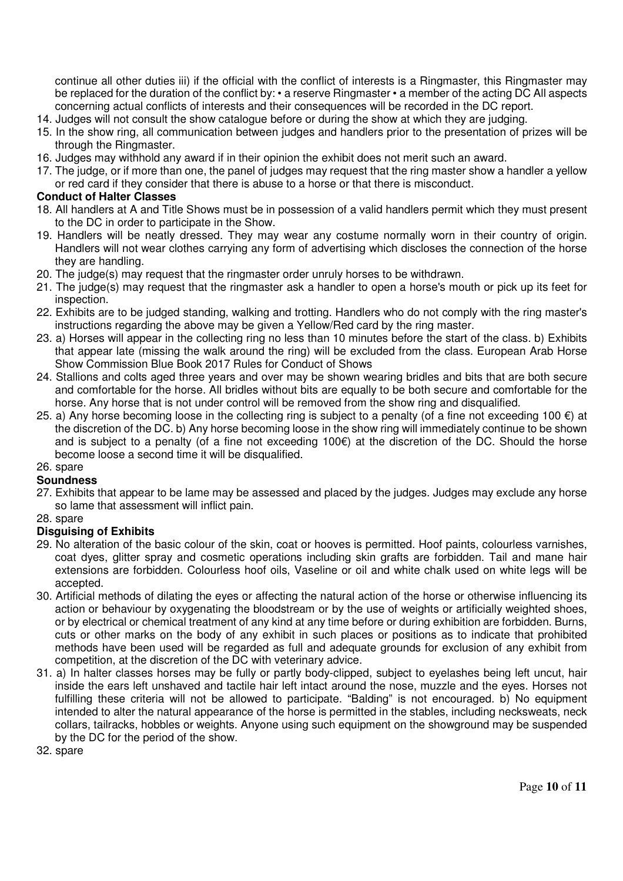continue all other duties iii) if the official with the conflict of interests is a Ringmaster, this Ringmaster may be replaced for the duration of the conflict by: • a reserve Ringmaster • a member of the acting DC All aspects concerning actual conflicts of interests and their consequences will be recorded in the DC report.

- 14. Judges will not consult the show catalogue before or during the show at which they are judging.
- 15. In the show ring, all communication between judges and handlers prior to the presentation of prizes will be through the Ringmaster.
- 16. Judges may withhold any award if in their opinion the exhibit does not merit such an award.
- 17. The judge, or if more than one, the panel of judges may request that the ring master show a handler a yellow or red card if they consider that there is abuse to a horse or that there is misconduct.

#### **Conduct of Halter Classes**

- 18. All handlers at A and Title Shows must be in possession of a valid handlers permit which they must present to the DC in order to participate in the Show.
- 19. Handlers will be neatly dressed. They may wear any costume normally worn in their country of origin. Handlers will not wear clothes carrying any form of advertising which discloses the connection of the horse they are handling.
- 20. The judge(s) may request that the ringmaster order unruly horses to be withdrawn.
- 21. The judge(s) may request that the ringmaster ask a handler to open a horse's mouth or pick up its feet for inspection.
- 22. Exhibits are to be judged standing, walking and trotting. Handlers who do not comply with the ring master's instructions regarding the above may be given a Yellow/Red card by the ring master.
- 23. a) Horses will appear in the collecting ring no less than 10 minutes before the start of the class. b) Exhibits that appear late (missing the walk around the ring) will be excluded from the class. European Arab Horse Show Commission Blue Book 2017 Rules for Conduct of Shows
- 24. Stallions and colts aged three years and over may be shown wearing bridles and bits that are both secure and comfortable for the horse. All bridles without bits are equally to be both secure and comfortable for the horse. Any horse that is not under control will be removed from the show ring and disqualified.
- 25. a) Any horse becoming loose in the collecting ring is subject to a penalty (of a fine not exceeding 100  $\epsilon$ ) at the discretion of the DC. b) Any horse becoming loose in the show ring will immediately continue to be shown and is subject to a penalty (of a fine not exceeding 100€) at the discretion of the DC. Should the horse become loose a second time it will be disqualified.
- 26. spare

#### **Soundness**

- 27. Exhibits that appear to be lame may be assessed and placed by the judges. Judges may exclude any horse so lame that assessment will inflict pain.
- 28. spare

#### **Disguising of Exhibits**

- 29. No alteration of the basic colour of the skin, coat or hooves is permitted. Hoof paints, colourless varnishes, coat dyes, glitter spray and cosmetic operations including skin grafts are forbidden. Tail and mane hair extensions are forbidden. Colourless hoof oils, Vaseline or oil and white chalk used on white legs will be accepted.
- 30. Artificial methods of dilating the eyes or affecting the natural action of the horse or otherwise influencing its action or behaviour by oxygenating the bloodstream or by the use of weights or artificially weighted shoes, or by electrical or chemical treatment of any kind at any time before or during exhibition are forbidden. Burns, cuts or other marks on the body of any exhibit in such places or positions as to indicate that prohibited methods have been used will be regarded as full and adequate grounds for exclusion of any exhibit from competition, at the discretion of the DC with veterinary advice.
- 31. a) In halter classes horses may be fully or partly body-clipped, subject to eyelashes being left uncut, hair inside the ears left unshaved and tactile hair left intact around the nose, muzzle and the eyes. Horses not fulfilling these criteria will not be allowed to participate. "Balding" is not encouraged. b) No equipment intended to alter the natural appearance of the horse is permitted in the stables, including necksweats, neck collars, tailracks, hobbles or weights. Anyone using such equipment on the showground may be suspended by the DC for the period of the show.
- 32. spare